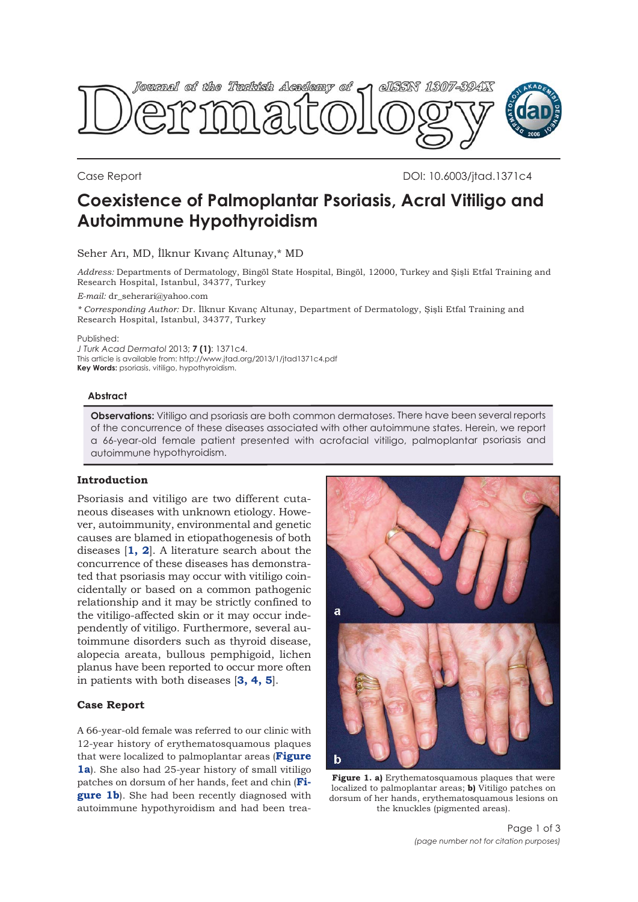

Case Report DOI: 10.6003/jtad.1371c4

# **Coexistence of Palmoplantar Psoriasis, Acral Vitiligo and Autoimmune Hypothyroidism**

Seher Arı, MD, İlknur Kıvanç Altunay,\* MD

*Address:* Departments of Dermatology, Bingöl State Hospital, Bingöl, 12000, Turkey and Şişli Etfal Training and Research Hospital, Istanbul, 34377, Turkey

*E-mail:* dr\_seherari@yahoo.com

*\* Corresponding Author:* Dr. İlknur Kıvanç Altunay, Department of Dermatology, Şişli Etfal Training and Research Hospital, Istanbul, 34377, Turkey

Published:

*J Turk Acad Dermatol* 2013; **7 (1)**: 1371c4.

This article is available from: http://www.jtad.org/2013/1/jtad1371c4.pdf **Key Words:** psoriasis, vitiligo, hypothyroidism.

### **Abstract**

**Observations:** Vitiligo and psoriasis are both common dermatoses. There have been several reports of the concurrence of these diseases associated with other autoimmune states. Herein, we report a 66-year-old female patient presented with acrofacial vitiligo, palmoplantar psoriasis and autoimmune hypothyroidism.

#### **Introduction**

Psoriasis and vitiligo are two different cutaneous diseases with unknown etiology. However, autoimmunity, environmental and genetic causes are blamed in etiopathogenesis of both diseases [**[1, 2](#page-1-0)**]. A literature search about the concurrence of these diseases has demonstrated that psoriasis may occur with vitiligo coincidentally or based on a common pathogenic relationship and it may be strictly confined to the vitiligo-affected skin or it may occur independently of vitiligo. Furthermore, several autoimmune disorders such as thyroid disease, alopecia areata, bullous pemphigoid, lichen planus have been reported to occur more often in patients with both diseases [**[3, 4, 5](#page-1-0)**].

#### **Case Report**

A 66-year-old female was referred to our clinic with 12-year history of erythematosquamous plaques that were localized to palmoplantar areas (**Figure 1a**). She also had 25-year history of small vitiligo patches on dorsum of her hands, feet and chin (**Figure 1b**). She had been recently diagnosed with autoimmune hypothyroidism and had been trea-



**Figure 1. a)** Erythematosquamous plaques that were localized to palmoplantar areas; **b)** Vitiligo patches on dorsum of her hands, erythematosquamous lesions on the knuckles (pigmented areas).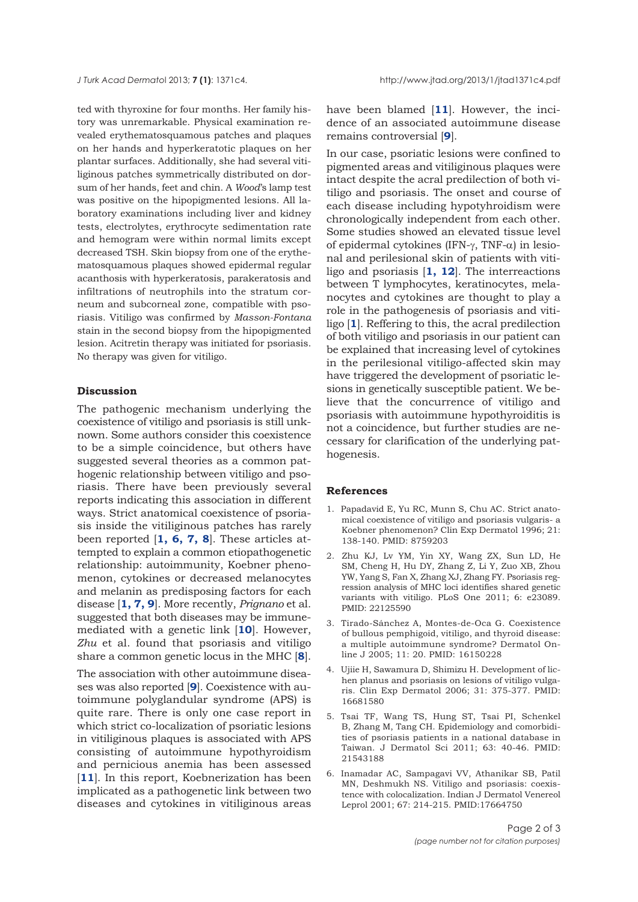<span id="page-1-0"></span>ted with thyroxine for four months. Her family history was unremarkable. Physical examination revealed erythematosquamous patches and plaques on her hands and hyperkeratotic plaques on her plantar surfaces. Additionally, she had several vitiliginous patches symmetrically distributed on dorsum of her hands, feet and chin. A *Wood*'s lamp test was positive on the hipopigmented lesions. All laboratory examinations including liver and kidney tests, electrolytes, erythrocyte sedimentation rate and hemogram were within normal limits except decreased TSH. Skin biopsy from one of the erythematosquamous plaques showed epidermal regular acanthosis with hyperkeratosis, parakeratosis and infiltrations of neutrophils into the stratum corneum and subcorneal zone, compatible with psoriasis. Vitiligo was confirmed by *Masson-Fontana* stain in the second biopsy from the hipopigmented lesion. Acitretin therapy was initiated for psoriasis. No therapy was given for vitiligo.

## **Discussion**

The pathogenic mechanism underlying the coexistence of vitiligo and psoriasis is still unknown. Some authors consider this coexistence to be a simple coincidence, but others have suggested several theories as a common pathogenic relationship between vitiligo and psoriasis. There have been previously several reports indicating this association in different ways. Strict anatomical coexistence of psoriasis inside the vitiliginous patches has rarely been reported [**1, 6, [7, 8](#page-2-0)**]. These articles attempted to explain a common etiopathogenetic relationship: autoimmunity, Koebner phenomenon, cytokines or decreased melanocytes and melanin as predisposing factors for each disease [**1, [7, 9](#page-2-0)**]. More recently, *Prignano* et al. suggested that both diseases may be immunemediated with a genetic link [**[10](#page-2-0)**]. However, *Zhu* et al. found that psoriasis and vitiligo share a common genetic locus in the MHC [**[8](#page-2-0)**].

The association with other autoimmune diseases was also reported [**[9](#page-2-0)**]. Coexistence with autoimmune polyglandular syndrome (APS) is quite rare. There is only one case report in which strict co-localization of psoriatic lesions in vitiliginous plaques is associated with APS consisting of autoimmune hypothyroidism and pernicious anemia has been assessed [[11](#page-2-0)]. In this report, Koebnerization has been implicated as a pathogenetic link between two diseases and cytokines in vitiliginous areas

have been blamed [**[11](#page-2-0)**]. However, the incidence of an associated autoimmune disease remains controversial [**[9](#page-2-0)**].

In our case, psoriatic lesions were confined to pigmented areas and vitiliginous plaques were intact despite the acral predilection of both vitiligo and psoriasis. The onset and course of each disease including hypotyhroidism were chronologically independent from each other. Some studies showed an elevated tissue level of epidermal cytokines (IFN-γ, TNF-α) in lesional and perilesional skin of patients with vitiligo and psoriasis [**1[, 12](#page-2-0)**]. The interreactions between T lymphocytes, keratinocytes, melanocytes and cytokines are thought to play a role in the pathogenesis of psoriasis and vitiligo [**1**]. Reffering to this, the acral predilection of both vitiligo and psoriasis in our patient can be explained that increasing level of cytokines in the perilesional vitiligo-affected skin may have triggered the development of psoriatic lesions in genetically susceptible patient. We believe that the concurrence of vitiligo and psoriasis with autoimmune hypothyroiditis is not a coincidence, but further studies are necessary for clarification of the underlying pathogenesis.

#### **References**

- 1. Papadavid E, Yu RC, Munn S, Chu AC. Strict anatomical coexistence of vitiligo and psoriasis vulgaris- a Koebner phenomenon? Clin Exp Dermatol 1996; 21: 138-140. PMID: 8759203
- 2. Zhu KJ, Lv YM, Yin XY, Wang ZX, Sun LD, He SM, Cheng H, Hu DY, Zhang Z, Li Y, Zuo XB, Zhou YW, Yang S, Fan X, Zhang XJ, Zhang FY. Psoriasis regression analysis of MHC loci identifies shared genetic variants with vitiligo. PLoS One 2011; 6: e23089. PMID: 22125590
- 3. Tirado-Sánchez A, Montes-de-Oca G. Coexistence of bullous pemphigoid, vitiligo, and thyroid disease: a multiple autoimmune syndrome? Dermatol Online J 2005; 11: 20. PMID: 16150228
- 4. Ujiie H, Sawamura D, Shimizu H. Development of lichen planus and psoriasis on lesions of vitiligo vulgaris. Clin Exp Dermatol 2006; 31: 375-377. PMID: 16681580
- 5. Tsai TF, Wang TS, Hung ST, Tsai PI, Schenkel B, Zhang M, Tang CH. Epidemiology and comorbidities of psoriasis patients in a national database in Taiwan. J Dermatol Sci 2011; 63: 40-46. PMID: 21543188
- 6. Inamadar AC, Sampagavi VV, Athanikar SB, Patil MN, Deshmukh NS. Vitiligo and psoriasis: coexistence with colocalization. Indian J Dermatol Venereol Leprol 2001; 67: 214-215. PMID:17664750